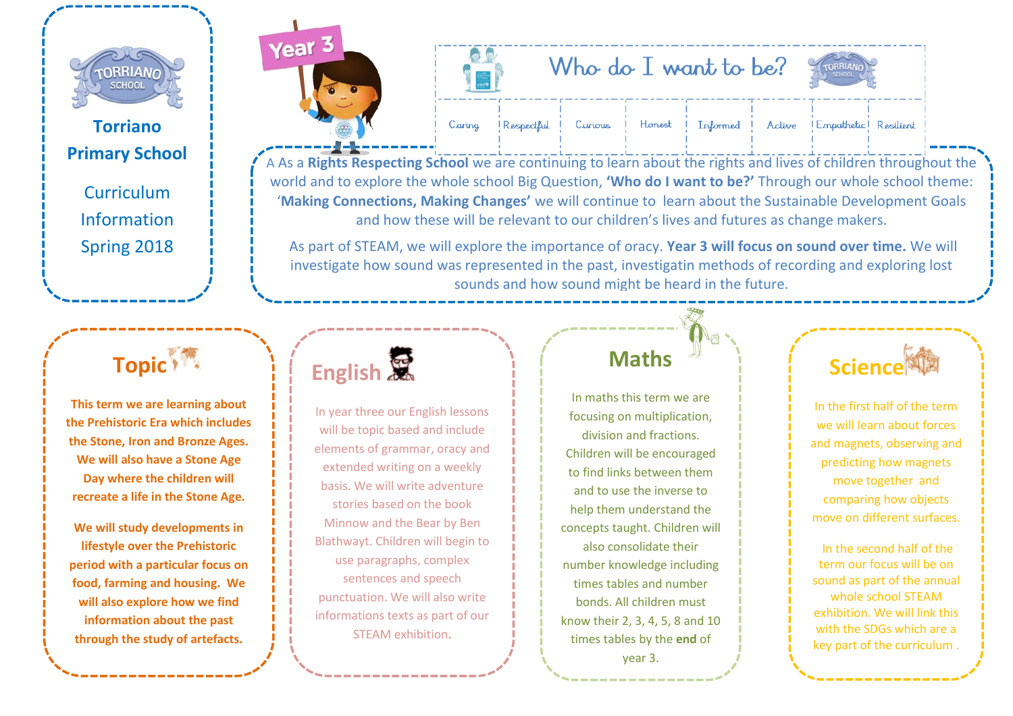

**Torriano Primary School**

> **Curriculum** Information Spring 2018

# Year<sub>3</sub>



| Who do I want to be? |  |  |  |  |  | CHANGE COM |
|----------------------|--|--|--|--|--|------------|
|----------------------|--|--|--|--|--|------------|

Informed



Respectful Caring

Honest Curious

**IEmpathetic Resilient** Active

A As a **[Rights Respecti](http://www.torrianojun.camden.sch.uk/year-groups/year-3)ng School** we are continuing to learn about the rights and lives of children throughout the world and to explore the whole school Big Question, **'Who do I want to be?'** Through our whole school theme: '**Making Connections, Making Changes'** we will continue to learn about the Sustainable Development Goals and how these will be relevant to our children's lives and futures as change makers.

As part of STEAM, we will explore the importance of oracy. **Year 3 will focus on sound over time.** We will investigate how sound was represented in the past, investigatin methods of recording and exploring lost sounds and how sound might be heard in the future.

### **Topic**<sup>1</sup>

**This term we are learning about the Prehistoric Era which includes the Stone, Iron and Bronze Ages. We will also have a Stone Age Day where the children will recreate a life in the Stone Age.** 

**We will study developments in lifestyle over the Prehistoric period with a particular focus on food, farming and housing. We will also explore how we find information about the past through the study of artefacts.** 

| English |  |
|---------|--|
|---------|--|

In year three our English lessons will be topic based and include elements of grammar, oracy and extended writing on a weekly basis. We will write adventure stories based on the book Minnow and the Bear by Ben Blathwayt. Children will begin to use paragraphs, complex sentences and speech punctuation. We will also write informations texts as part of our STEAM exhibition.

#### **Maths**

In maths this term we are focusing on multiplication, division and fractions. Children will be encouraged to find links between them and to use the inverse to help them understand the concepts taught. Children will also consolidate their number knowledge including times tables and number bonds. All children must know their 2, 3, 4, 5, 8 and 10 times tables by the **end** of year 3.



In the first half of the term we will learn about forces and magnets, observing and predicting how magnets move together and comparing how objects move on different surfaces.

In the second half of the term our focus will be on sound as part of the annual whole school STEAM exhibition. We will link this with the SDGs which are a key part of the curriculum .